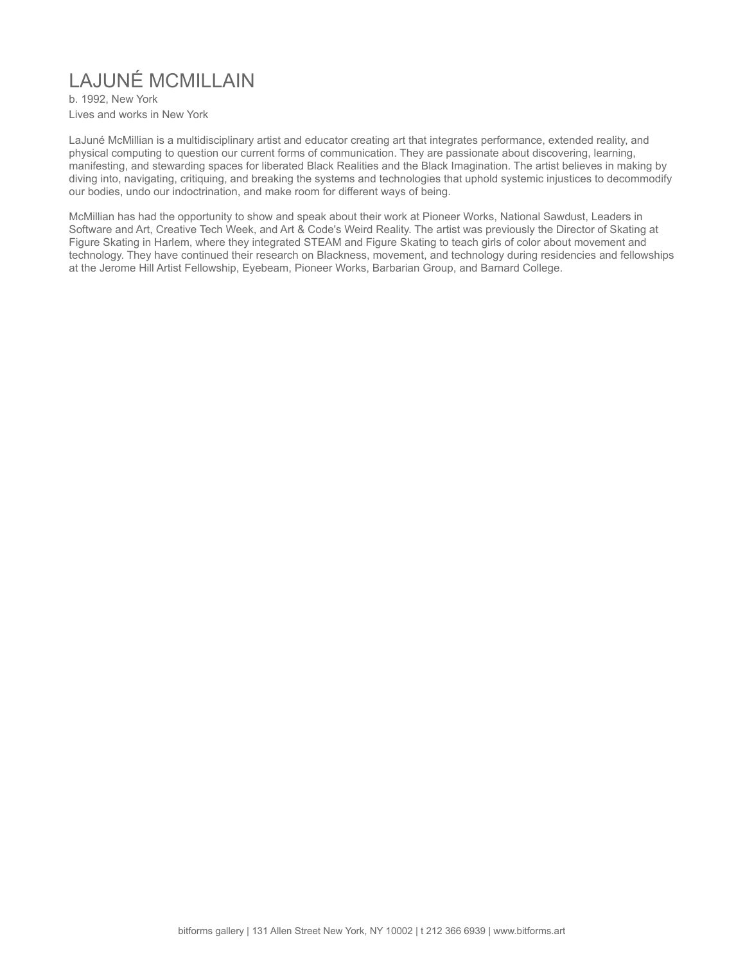# LAJUNÉ MCMILLAIN

b. 1992, New York Lives and works in New York

LaJuné McMillian is a multidisciplinary artist and educator creating art that integrates performance, extended reality, and physical computing to question our current forms of communication. They are passionate about discovering, learning, manifesting, and stewarding spaces for liberated Black Realities and the Black Imagination. The artist believes in making by diving into, navigating, critiquing, and breaking the systems and technologies that uphold systemic injustices to decommodify our bodies, undo our indoctrination, and make room for different ways of being.

McMillian has had the opportunity to show and speak about their work at Pioneer Works, National Sawdust, Leaders in Software and Art, Creative Tech Week, and Art & Code's Weird Reality. The artist was previously the Director of Skating at Figure Skating in Harlem, where they integrated STEAM and Figure Skating to teach girls of color about movement and technology. They have continued their research on Blackness, movement, and technology during residencies and fellowships at the Jerome Hill Artist Fellowship, Eyebeam, Pioneer Works, Barbarian Group, and Barnard College.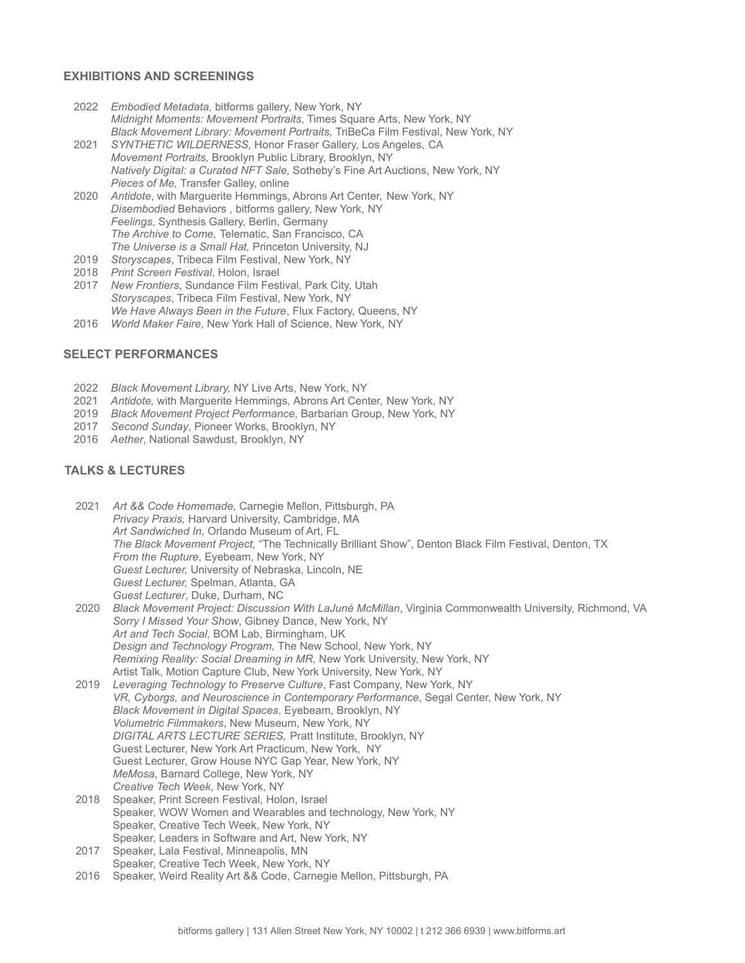## **EXHIBITIONS AND SCREENINGS**

- 2022 *Embodied Metadata,* bitforms gallery, New York, NY *Midnight Moments: Movement Portraits*, Times Square Arts, New York, NY *Black Movement Library: Movement Portraits,* TriBeCa Film Festival, New York, NY
- 2021 *SYNTHETIC WILDERNESS,* Honor Fraser Gallery, Los Angeles, CA *Movement Portraits,* Brooklyn Public Library, Brooklyn, NY *Natively Digital: a Curated NFT Sale,* Sotheby's Fine Art Auctions, New York, NY *Pieces of Me,* Transfer Galley, online
- 2020 *Antidote*, with Marguerite Hemmings, Abrons Art Center, New York, NY *Disembodied* Behaviors , bitforms gallery, New York, NY *Feelings*, Synthesis Gallery, Berlin, Germany *The Archive to Come,* Telematic, San Francisco, CA *The Universe is a Small Hat,* Princeton University, NJ
- 2019 *Storyscapes*, Tribeca Film Festival, New York, NY
- 2018 *Print Screen Festival*, Holon, Israel
- 2017 *New Frontiers*, Sundance Film Festival, Park City, Utah *Storyscapes*, Tribeca Film Festival, New York, NY *We Have Always Been in the Future*, Flux Factory, Queens, NY
- 2016 *World Maker Faire*, New York Hall of Science, New York, NY

### **SELECT PERFORMANCES**

- 2022 *Black Movement Library,* NY Live Arts, New York, NY
- 2021 *Antidote,* with Marguerite Hemmings, Abrons Art Center, New York, NY
- 2019 *Black Movement Project Performance*, Barbarian Group, New York, NY
- 2017 *Second Sunday*, Pioneer Works, Brooklyn, NY
- 2016 *Aether*, National Sawdust, Brooklyn, NY

#### **TALKS & LECTURES**

- 2021 *Art && Code Homemade,* Carnegie Mellon, Pittsburgh, PA *Privacy Praxis,* Harvard University, Cambridge, MA *Art Sandwiched In,* Orlando Museum of Art, FL *The Black Movement Project,* "The Technically Brilliant Show", Denton Black Film Festival, Denton, TX *From the Rupture*, Eyebeam, New York, NY *Guest Lecturer,* University of Nebraska, Lincoln, NE *Guest Lecturer,* Spelman, Atlanta, GA *Guest Lecturer*, Duke, Durham, NC
- 2020 *Black Movement Project: Discussion With LaJuné McMillan*, Virginia Commonwealth University, Richmond, VA *Sorry I Missed Your Show*, Gibney Dance, New York, NY *Art and Tech Social,* BOM Lab, Birmingham, UK *Design and Technology Program,* The New School, New York, NY *Remixing Reality: Social Dreaming in MR,* New York University, New York, NY Artist Talk, Motion Capture Club, New York University, New York, NY
- 2019 *Leveraging Technology to Preserve Culture*, Fast Company, New York, NY *VR, Cyborgs, and Neuroscience in Contemporary Performance*, Segal Center, New York, NY *Black Movement in Digital Spaces*, Eyebeam, Brooklyn, NY *Volumetric Filmmakers*, New Museum, New York, NY *DIGITAL ARTS LECTURE SERIES,* Pratt Institute, Brooklyn, NY Guest Lecturer, New York Art Practicum, New York, NY Guest Lecturer, Grow House NYC Gap Year, New York, NY *MeMosa*, Barnard College, New York, NY *Creative Tech Week*, New York, NY 2018 Speaker, Print Screen Festival, Holon, Israel
- Speaker, WOW Women and Wearables and technology, New York, NY Speaker, Creative Tech Week, New York, NY Speaker, Leaders in Software and Art, New York, NY
- 2017 Speaker, Lala Festival, Minneapolis, MN Speaker, Creative Tech Week, New York, NY
- 2016 Speaker, Weird Reality Art && Code, Carnegie Mellon, Pittsburgh, PA